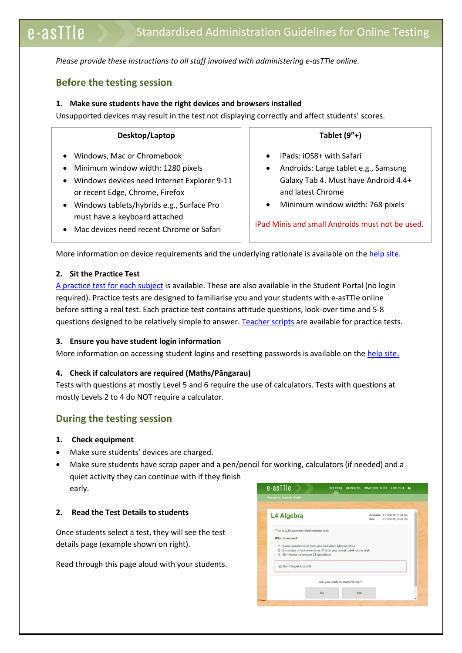*Please provide these instructions to all staff involved with administering e-asTTle online.* 

# **Before the testing session**

### **1. Make sure students have the right devices and browsers installed**

Unsupported devices may result in the test not displaying correctly and affect students' scores.

#### **Desktop/Laptop**

- Windows, Mac or Chromebook
- Minimum window width: 1280 pixels
- Windows devices need Internet Explorer 9-11 or recent Edge, Chrome, Firefox
- Windows tablets/hybrids e.g., Surface Pro must have a keyboard attached
- Mac devices need recent Chrome or Safari

**Tablet (9"+)**

- iPads: iOS8+ with Safari
- Androids: Large tablet e.g., Samsung Galaxy Tab 4. Must have Android 4.4+ and latest Chrome
- Minimum window width: 768 pixels

iPad Minis and small Androids must not be used.

More information on device requirements and the underlying rationale is available on th[e help site.](http://easttlehelp.vln.school.nz/studentwebsite/device-requirements)

# **2. Sit the Practice Test**

i,

[A practice test for each subject](https://e-asttle.education.govt.nz/SCWeb/practicetest/practice-test-subject.faces) is available. These are also available in the Student Portal (no login required). Practice tests are designed to familiarise you and your students with e-asTTle online before sitting a real test. Each practice test contains attitude questions, look-over time and 5-8 questions designed to be relatively simple to answer. [Teacher scripts](http://easttlehelp.vln.school.nz/studentwebsite/practice-test-scripts) are available for practice tests.

# **3.** Ensure you have student login information

More information on accessing student logins and resetting passwords is available on th[e help site.](http://easttlehelp.vln.school.nz/studentwebsite/student-login-and-forgotten-passwords)

# **4. Check if calculators are required (Maths/Pāngarau)**

Tests with questions at mostly Level 5 and 6 require the use of calculators. Tests with questions at mostly Levels 2 to 4 do NOT require a calculator.

# **During the testing session**

- **1. Check equipment**
- Make sure students' devices are charged.
- Make sure students have scrap paper and a pen/pencil for working, calculators (if needed) and a quiet activity they can continue with if they finish early.

# **2. Read the Test Details to students**

Once students select a test, they will see the test details page (example shown on right).

Read through this page aloud with your students.

| Welcome, Andrew Smith.                  |                                                                      |                                                                 |
|-----------------------------------------|----------------------------------------------------------------------|-----------------------------------------------------------------|
| L4 Algebra                              |                                                                      | Available: 31/10/2015; 11:28 AM<br>31/10/2015; 12:42 PM<br>Due: |
| This is a 28 question Mathematics test. |                                                                      |                                                                 |
| What to expect                          |                                                                      |                                                                 |
|                                         |                                                                      |                                                                 |
|                                         | 1. Some questions on how you feel about Mathematics.                 |                                                                 |
| 3. 30 minutes to answer 28 questions.   | 2. 2 minutes of look-over time. This is your sneak peek of the test. |                                                                 |
|                                         |                                                                      |                                                                 |
| C Don't forget to scroll!               |                                                                      |                                                                 |
|                                         | Are you ready to start this test?                                    |                                                                 |